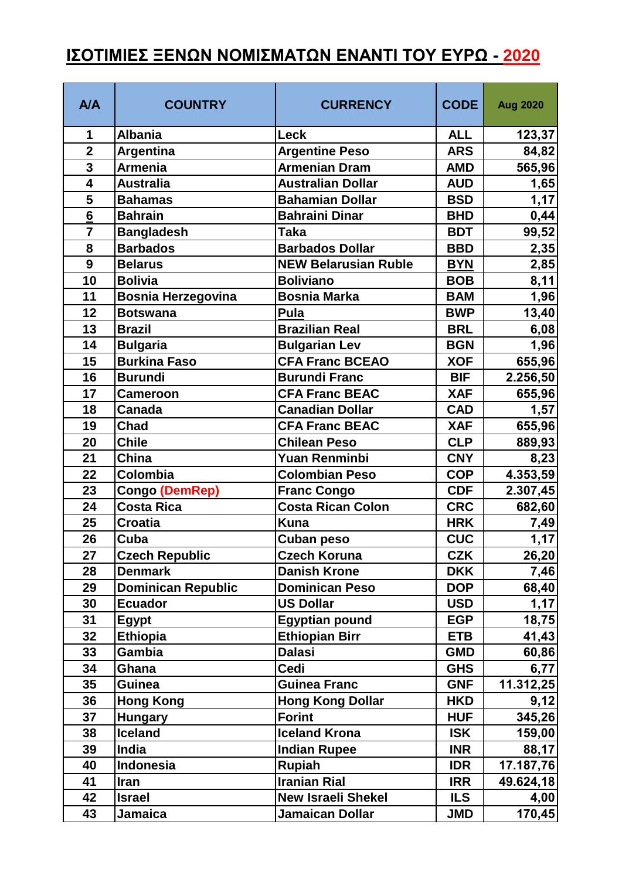## **ΙΣΟΤΙΜΙΕΣ ΞΕΝΩΝ ΝΟΜΙΣΜΑΤΩΝ ΕΝΑΝΤΙ ΤΟΥ ΕΥΡΩ - 2020**

| <b>A/A</b>      | <b>COUNTRY</b>            | <b>CURRENCY</b>             | <b>CODE</b> | <b>Aug 2020</b> |
|-----------------|---------------------------|-----------------------------|-------------|-----------------|
| 1               | <b>Albania</b>            | <b>Leck</b>                 | <b>ALL</b>  | 123,37          |
| $\overline{2}$  | <b>Argentina</b>          | <b>Argentine Peso</b>       | <b>ARS</b>  | 84,82           |
| 3               | <b>Armenia</b>            | <b>Armenian Dram</b>        | <b>AMD</b>  | 565,96          |
| $\overline{4}$  | <b>Australia</b>          | <b>Australian Dollar</b>    | <b>AUD</b>  | 1,65            |
| 5               | <b>Bahamas</b>            | <b>Bahamian Dollar</b>      | <b>BSD</b>  | 1,17            |
| $6\phantom{1}6$ | <b>Bahrain</b>            | <b>Bahraini Dinar</b>       | <b>BHD</b>  | 0,44            |
| $\overline{7}$  | <b>Bangladesh</b>         | Taka                        | <b>BDT</b>  | 99,52           |
| 8               | <b>Barbados</b>           | <b>Barbados Dollar</b>      | <b>BBD</b>  | 2,35            |
| 9               | <b>Belarus</b>            | <b>NEW Belarusian Ruble</b> | <b>BYN</b>  | 2,85            |
| 10              | <b>Bolivia</b>            | <b>Boliviano</b>            | <b>BOB</b>  | 8,11            |
| 11              | <b>Bosnia Herzegovina</b> | <b>Bosnia Marka</b>         | <b>BAM</b>  | 1,96            |
| 12              | <b>Botswana</b>           | Pula                        | <b>BWP</b>  | 13,40           |
| 13              | <b>Brazil</b>             | <b>Brazilian Real</b>       | <b>BRL</b>  | 6,08            |
| 14              | <b>Bulgaria</b>           | <b>Bulgarian Lev</b>        | <b>BGN</b>  | 1,96            |
| 15              | <b>Burkina Faso</b>       | <b>CFA Franc BCEAO</b>      | <b>XOF</b>  | 655,96          |
| 16              | <b>Burundi</b>            | <b>Burundi Franc</b>        | <b>BIF</b>  | 2.256,50        |
| 17              | <b>Cameroon</b>           | <b>CFA Franc BEAC</b>       | <b>XAF</b>  | 655,96          |
| 18              | <b>Canada</b>             | <b>Canadian Dollar</b>      | <b>CAD</b>  | 1,57            |
| 19              | Chad                      | <b>CFA Franc BEAC</b>       | <b>XAF</b>  | 655,96          |
| 20              | <b>Chile</b>              | <b>Chilean Peso</b>         | <b>CLP</b>  | 889,93          |
| 21              | China                     | <b>Yuan Renminbi</b>        | <b>CNY</b>  | 8,23            |
| 22              | Colombia                  | <b>Colombian Peso</b>       | <b>COP</b>  | 4.353,59        |
| 23              | <b>Congo (DemRep)</b>     | <b>Franc Congo</b>          | <b>CDF</b>  | 2.307,45        |
| 24              | <b>Costa Rica</b>         | <b>Costa Rican Colon</b>    | <b>CRC</b>  | 682,60          |
| 25              | <b>Croatia</b>            | <b>Kuna</b>                 | <b>HRK</b>  | 7,49            |
| 26              | Cuba                      | <b>Cuban peso</b>           | <b>CUC</b>  | 1,17            |
| 27              | <b>Czech Republic</b>     | <b>Czech Koruna</b>         | <b>CZK</b>  | 26,20           |
| 28              | <b>Denmark</b>            | <b>Danish Krone</b>         | <b>DKK</b>  | 7,46            |
| 29              | <b>Dominican Republic</b> | <b>Dominican Peso</b>       | <b>DOP</b>  | 68,40           |
| 30              | <b>Ecuador</b>            | <b>US Dollar</b>            | <b>USD</b>  | 1,17            |
| 31              | Egypt                     | <b>Egyptian pound</b>       | <b>EGP</b>  | 18,75           |
| 32              | Ethiopia                  | <b>Ethiopian Birr</b>       | <b>ETB</b>  | 41,43           |
| 33              | Gambia                    | <b>Dalasi</b>               | <b>GMD</b>  | 60,86           |
| 34              | Ghana                     | <b>Cedi</b>                 | <b>GHS</b>  | 6,77            |
| 35              | <b>Guinea</b>             | <b>Guinea Franc</b>         | <b>GNF</b>  | 11.312,25       |
| 36              | <b>Hong Kong</b>          | <b>Hong Kong Dollar</b>     | <b>HKD</b>  | 9,12            |
| 37              | <b>Hungary</b>            | <b>Forint</b>               | <b>HUF</b>  | 345,26          |
| 38              | <b>Iceland</b>            | <b>Iceland Krona</b>        | <b>ISK</b>  | 159,00          |
| 39              | India                     | <b>Indian Rupee</b>         | <b>INR</b>  | 88,17           |
| 40              | Indonesia                 | <b>Rupiah</b>               | <b>IDR</b>  | 17.187,76       |
| 41              | Iran                      | <b>Iranian Rial</b>         | <b>IRR</b>  | 49.624,18       |
| 42              | <b>Israel</b>             | <b>New Israeli Shekel</b>   | <b>ILS</b>  | 4,00            |
| 43              | Jamaica                   | <b>Jamaican Dollar</b>      | <b>JMD</b>  | 170,45          |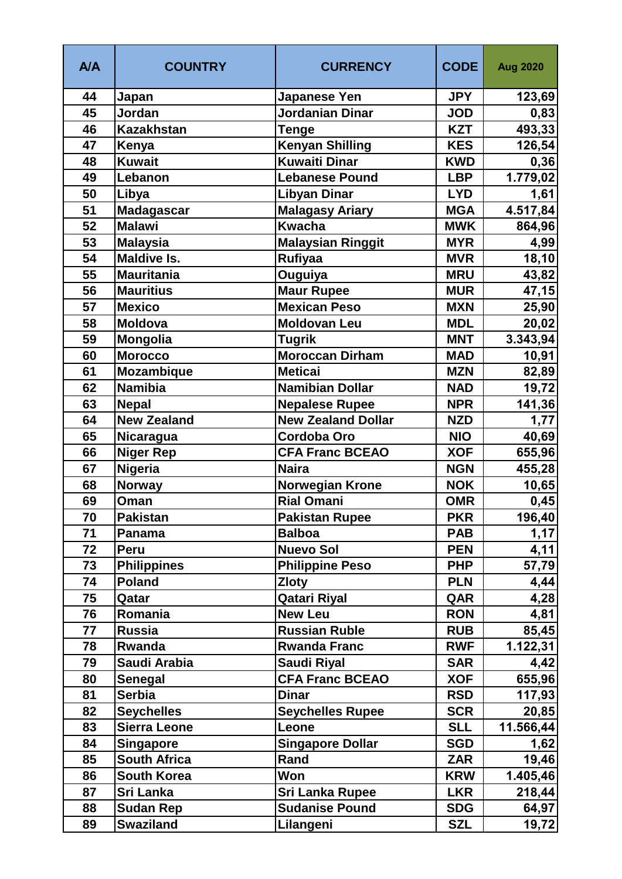| <b>A/A</b> | <b>COUNTRY</b>      | <b>CURRENCY</b>           | <b>CODE</b> | <b>Aug 2020</b> |
|------------|---------------------|---------------------------|-------------|-----------------|
| 44         | Japan               | <b>Japanese Yen</b>       | <b>JPY</b>  | 123,69          |
| 45         | Jordan              | Jordanian Dinar           | <b>JOD</b>  | 0,83            |
| 46         | <b>Kazakhstan</b>   | <b>Tenge</b>              | <b>KZT</b>  | 493,33          |
| 47         | Kenya               | <b>Kenyan Shilling</b>    | <b>KES</b>  | 126,54          |
| 48         | <b>Kuwait</b>       | <b>Kuwaiti Dinar</b>      | <b>KWD</b>  | 0,36            |
| 49         | Lebanon             | <b>Lebanese Pound</b>     | <b>LBP</b>  | 1.779,02        |
| 50         | Libya               | <b>Libyan Dinar</b>       | <b>LYD</b>  | 1,61            |
| 51         | <b>Madagascar</b>   | <b>Malagasy Ariary</b>    | <b>MGA</b>  | 4.517,84        |
| 52         | <b>Malawi</b>       | <b>Kwacha</b>             | <b>MWK</b>  | 864,96          |
| 53         | <b>Malaysia</b>     | <b>Malaysian Ringgit</b>  | <b>MYR</b>  | 4,99            |
| 54         | <b>Maldive Is.</b>  | <b>Rufiyaa</b>            | <b>MVR</b>  | 18, 10          |
| 55         | <b>Mauritania</b>   | Ouguiya                   | <b>MRU</b>  | 43,82           |
| 56         | <b>Mauritius</b>    | <b>Maur Rupee</b>         | <b>MUR</b>  | 47,15           |
| 57         | <b>Mexico</b>       | <b>Mexican Peso</b>       | <b>MXN</b>  | 25,90           |
| 58         | <b>Moldova</b>      | <b>Moldovan Leu</b>       | <b>MDL</b>  | 20,02           |
| 59         | <b>Mongolia</b>     | <b>Tugrik</b>             | <b>MNT</b>  | 3.343,94        |
| 60         | <b>Morocco</b>      | <b>Moroccan Dirham</b>    | <b>MAD</b>  | 10,91           |
| 61         | <b>Mozambique</b>   | <b>Meticai</b>            | <b>MZN</b>  | 82,89           |
| 62         | <b>Namibia</b>      | <b>Namibian Dollar</b>    | <b>NAD</b>  | 19,72           |
| 63         | <b>Nepal</b>        | <b>Nepalese Rupee</b>     | <b>NPR</b>  | 141,36          |
| 64         | <b>New Zealand</b>  | <b>New Zealand Dollar</b> | <b>NZD</b>  | 1,77            |
| 65         | Nicaragua           | <b>Cordoba Oro</b>        | <b>NIO</b>  | 40,69           |
| 66         | <b>Niger Rep</b>    | <b>CFA Franc BCEAO</b>    | <b>XOF</b>  | 655,96          |
| 67         | Nigeria             | <b>Naira</b>              | <b>NGN</b>  | 455,28          |
| 68         | <b>Norway</b>       | Norwegian Krone           | <b>NOK</b>  | 10,65           |
| 69         | Oman                | <b>Rial Omani</b>         | <b>OMR</b>  | 0,45            |
| 70         | <b>Pakistan</b>     | <b>Pakistan Rupee</b>     | <b>PKR</b>  | 196,40          |
| 71         | Panama              | <b>Balboa</b>             | <b>PAB</b>  | 1,17            |
| 72         | Peru                | <b>Nuevo Sol</b>          | <b>PEN</b>  | 4,11            |
| 73         | <b>Philippines</b>  | <b>Philippine Peso</b>    | <b>PHP</b>  | 57,79           |
| 74         | <b>Poland</b>       | <b>Zloty</b>              | <b>PLN</b>  | 4,44            |
| 75         | Qatar               | Qatari Riyal              | QAR         | 4,28            |
| 76         | Romania             | <b>New Leu</b>            | <b>RON</b>  | 4,81            |
| 77         | <b>Russia</b>       | <b>Russian Ruble</b>      | <b>RUB</b>  | 85,45           |
| 78         | Rwanda              | <b>Rwanda Franc</b>       | <b>RWF</b>  | 1.122, 31       |
| 79         | Saudi Arabia        | Saudi Riyal               | <b>SAR</b>  | 4,42            |
| 80         | Senegal             | <b>CFA Franc BCEAO</b>    | <b>XOF</b>  | 655,96          |
| 81         | <b>Serbia</b>       | <b>Dinar</b>              | <b>RSD</b>  | 117,93          |
| 82         | <b>Seychelles</b>   | <b>Seychelles Rupee</b>   | <b>SCR</b>  | 20,85           |
| 83         | <b>Sierra Leone</b> | Leone                     | <b>SLL</b>  | 11.566,44       |
| 84         | <b>Singapore</b>    | <b>Singapore Dollar</b>   | <b>SGD</b>  | 1,62            |
| 85         | <b>South Africa</b> | Rand                      | <b>ZAR</b>  | 19,46           |
| 86         | <b>South Korea</b>  | Won                       | <b>KRW</b>  | 1.405,46        |
| 87         | <b>Sri Lanka</b>    | <b>Sri Lanka Rupee</b>    | <b>LKR</b>  | 218,44          |
| 88         | <b>Sudan Rep</b>    | <b>Sudanise Pound</b>     | <b>SDG</b>  | 64,97           |
| 89         | <b>Swaziland</b>    | Lilangeni                 | <b>SZL</b>  | 19,72           |